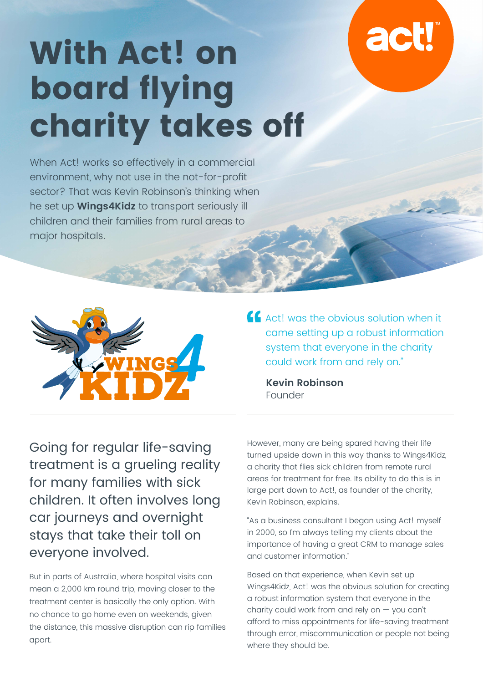# **act**

## **With Act! on board flying charity takes off**

When Act! works so effectively in a commercial environment, why not use in the not-for-profit sector? That was Kevin Robinson's thinking when he set up **Wings4Kidz** to transport seriously ill children and their families from rural areas to major hospitals.



**Act!** was the obvious solution when it came setting up a robust information system that everyone in the charity could work from and rely on."

**Kevin Robinson**  Founder

Going for regular life-saving treatment is a grueling reality for many families with sick children. It often involves long car journeys and overnight stays that take their toll on everyone involved.

But in parts of Australia, where hospital visits can mean a 2,000 km round trip, moving closer to the treatment center is basically the only option. With no chance to go home even on weekends, given the distance, this massive disruption can rip families apart.

However, many are being spared having their life turned upside down in this way thanks to Wings4Kidz, a charity that flies sick children from remote rural areas for treatment for free. Its ability to do this is in large part down to Act!, as founder of the charity, Kevin Robinson, explains.

"As a business consultant I began using Act! myself in 2000, so I'm always telling my clients about the importance of having a great CRM to manage sales and customer information."

Based on that experience, when Kevin set up Wings4Kidz, Act! was the obvious solution for creating a robust information system that everyone in the charity could work from and rely on — you can't afford to miss appointments for life-saving treatment through error, miscommunication or people not being where they should be.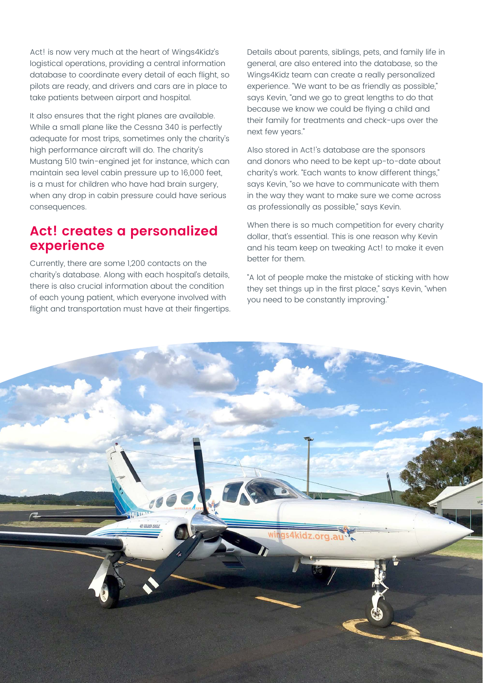Act! is now very much at the heart of Wings4Kidz's logistical operations, providing a central information database to coordinate every detail of each flight, so pilots are ready, and drivers and cars are in place to take patients between airport and hospital.

It also ensures that the right planes are available. While a small plane like the Cessna 340 is perfectly adequate for most trips, sometimes only the charity's high performance aircraft will do. The charity's Mustang 510 twin-engined jet for instance, which can maintain sea level cabin pressure up to 16,000 feet, is a must for children who have had brain surgery, when any drop in cabin pressure could have serious consequences.

#### **Act! creates a personalized experience**

Currently, there are some 1,200 contacts on the charity's database. Along with each hospital's details, there is also crucial information about the condition of each young patient, which everyone involved with flight and transportation must have at their fingertips.

Details about parents, siblings, pets, and family life in general, are also entered into the database, so the Wings4Kidz team can create a really personalized experience. "We want to be as friendly as possible," says Kevin, "and we go to great lengths to do that because we know we could be flying a child and their family for treatments and check-ups over the next few years."

Also stored in Act!'s database are the sponsors and donors who need to be kept up-to-date about charity's work. "Each wants to know different things," says Kevin, "so we have to communicate with them in the way they want to make sure we come across as professionally as possible," says Kevin.

When there is so much competition for every charity dollar, that's essential. This is one reason why Kevin and his team keep on tweaking Act! to make it even better for them.

"A lot of people make the mistake of sticking with how they set things up in the first place," says Kevin, "when you need to be constantly improving."